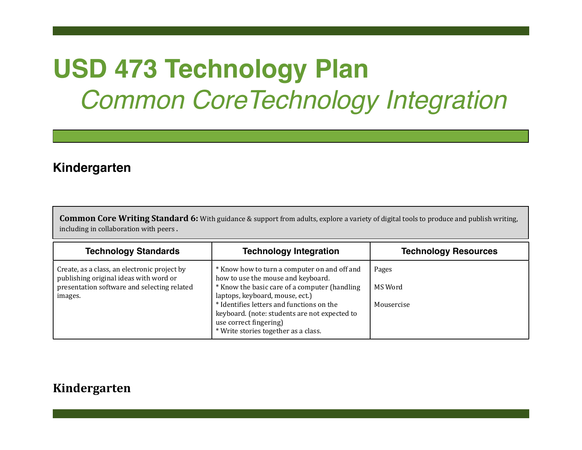# **USD 473 Technology Plan** *Common CoreTechnology Integration*

## **Kindergarten**

**Common Core Writing Standard 6:** With guidance & support from adults, explore a variety of digital tools to produce and publish writing, including in collaboration with peers.

| <b>Technology Standards</b>                                                                                                                      | <b>Technology Integration</b>                                                                                                                                                                                                                                                                                                          | <b>Technology Resources</b>    |
|--------------------------------------------------------------------------------------------------------------------------------------------------|----------------------------------------------------------------------------------------------------------------------------------------------------------------------------------------------------------------------------------------------------------------------------------------------------------------------------------------|--------------------------------|
| Create, as a class, an electronic project by<br>publishing original ideas with word or<br>presentation software and selecting related<br>images. | * Know how to turn a computer on and off and<br>how to use the mouse and keyboard.<br>* Know the basic care of a computer (handling<br>laptops, keyboard, mouse, ect.)<br>* Identifies letters and functions on the<br>keyboard. (note: students are not expected to<br>use correct fingering)<br>* Write stories together as a class. | Pages<br>MS Word<br>Mousercise |

#### **Kindergarten**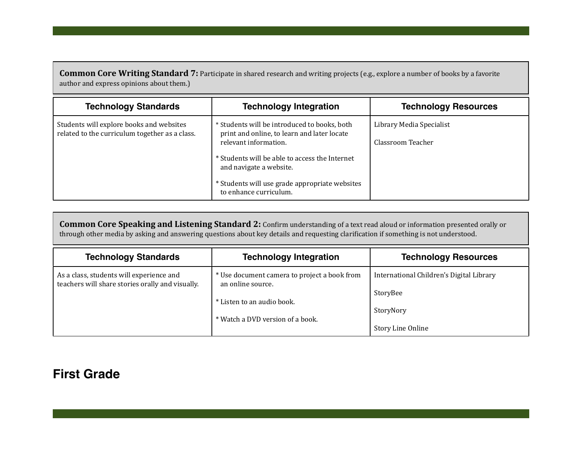**Common Core Writing Standard 7:** Participate in shared research and writing projects (e.g., explore a number of books by a favorite author and express opinions about them.)

| <b>Technology Standards</b>                                                                | <b>Technology Integration</b>                                                                                        | <b>Technology Resources</b>                   |
|--------------------------------------------------------------------------------------------|----------------------------------------------------------------------------------------------------------------------|-----------------------------------------------|
| Students will explore books and websites<br>related to the curriculum together as a class. | * Students will be introduced to books, both<br>print and online, to learn and later locate<br>relevant information. | Library Media Specialist<br>Classroom Teacher |
|                                                                                            | * Students will be able to access the Internet<br>and navigate a website.                                            |                                               |
|                                                                                            | * Students will use grade appropriate websites<br>to enhance curriculum.                                             |                                               |

**Common Core Speaking and Listening Standard 2:** Confirm understanding of a text read aloud or information presented orally or through other media by asking and answering questions about key details and requesting clarification if something is not understood.

| <b>Technology Standards</b>                                                                  | <b>Technology Integration</b>                                     | <b>Technology Resources</b>              |
|----------------------------------------------------------------------------------------------|-------------------------------------------------------------------|------------------------------------------|
| As a class, students will experience and<br>teachers will share stories orally and visually. | * Use document camera to project a book from<br>an online source. | International Children's Digital Library |
|                                                                                              |                                                                   | StoryBee                                 |
|                                                                                              | * Listen to an audio book.                                        |                                          |
|                                                                                              |                                                                   | StoryNory                                |
|                                                                                              | * Watch a DVD version of a book.                                  |                                          |
|                                                                                              |                                                                   | Story Line Online                        |

#### **First Grade**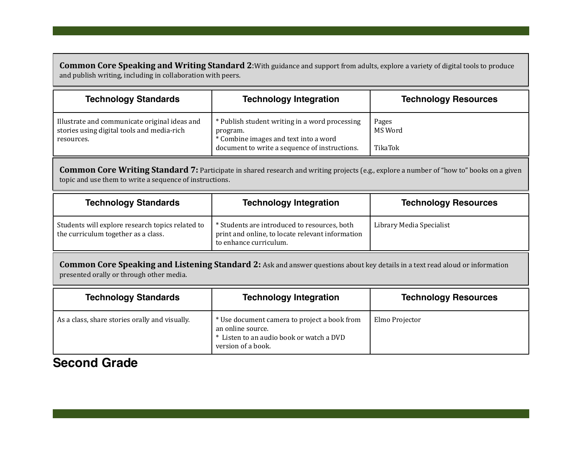**Common Core Speaking and Writing Standard 2:**With guidance and support from adults, explore a variety of digital tools to produce and publish writing, including in collaboration with peers.

| <b>Technology Standards</b>                                                                               | <b>Technology Integration</b>                                                                                                                        | <b>Technology Resources</b> |
|-----------------------------------------------------------------------------------------------------------|------------------------------------------------------------------------------------------------------------------------------------------------------|-----------------------------|
| Illustrate and communicate original ideas and<br>stories using digital tools and media-rich<br>resources. | * Publish student writing in a word processing<br>program.<br>* Combine images and text into a word<br>document to write a sequence of instructions. | Pages<br>MS Word<br>TikaTok |

**Common Core Writing Standard 7:** Participate in shared research and writing projects (e.g., explore a number of "how to" books on a given topic and use them to write a sequence of instructions.

| <b>Technology Standards</b>                                                             | <b>Technology Integration</b>                                                                                              | <b>Technology Resources</b> |
|-----------------------------------------------------------------------------------------|----------------------------------------------------------------------------------------------------------------------------|-----------------------------|
| Students will explore research topics related to<br>the curriculum together as a class. | * Students are introduced to resources, both<br>print and online, to locate relevant information<br>to enhance curriculum. | Library Media Specialist    |

**Common Core Speaking and Listening Standard 2:** Ask and answer questions about key details in a text read aloud or information presented orally or through other media.

| <b>Technology Standards</b>                    | <b>Technology Integration</b>                                                                                                       | <b>Technology Resources</b> |
|------------------------------------------------|-------------------------------------------------------------------------------------------------------------------------------------|-----------------------------|
| As a class, share stories orally and visually. | * Use document camera to project a book from<br>an online source.<br>* Listen to an audio book or watch a DVD<br>version of a book. | Elmo Projector              |

### **Second Grade**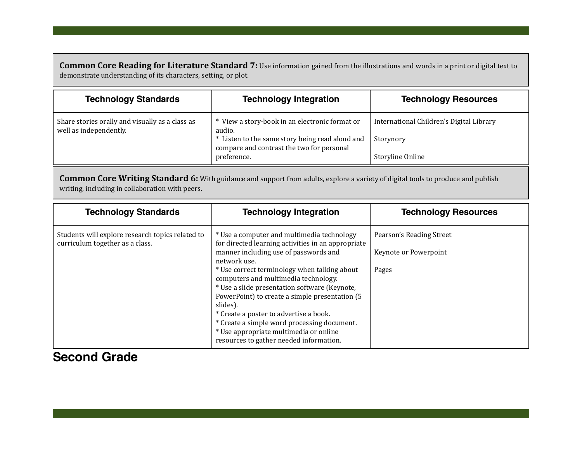**Common Core Reading for Literature Standard 7:** Use information gained from the illustrations and words in a print or digital text to demonstrate understanding of its characters, setting, or plot.

| <b>Technology Standards</b>                                               | <b>Technology Integration</b>                                                                                                                                           | <b>Technology Resources</b>                                               |
|---------------------------------------------------------------------------|-------------------------------------------------------------------------------------------------------------------------------------------------------------------------|---------------------------------------------------------------------------|
| Share stories orally and visually as a class as<br>well as independently. | * View a story-book in an electronic format or<br>audio.<br>* Listen to the same story being read aloud and<br>compare and contrast the two for personal<br>preference. | International Children's Digital Library<br>Storynory<br>Storyline Online |

**Common Core Writing Standard 6:** With guidance and support from adults, explore a variety of digital tools to produce and publish writing, including in collaboration with peers.

| <b>Technology Standards</b>                                                         | <b>Technology Integration</b>                                                                                                                                                                                                                                                                                                                                                                                                                                                                                                                  | <b>Technology Resources</b>                                |
|-------------------------------------------------------------------------------------|------------------------------------------------------------------------------------------------------------------------------------------------------------------------------------------------------------------------------------------------------------------------------------------------------------------------------------------------------------------------------------------------------------------------------------------------------------------------------------------------------------------------------------------------|------------------------------------------------------------|
| Students will explore research topics related to<br>curriculum together as a class. | * Use a computer and multimedia technology<br>for directed learning activities in an appropriate<br>manner including use of passwords and<br>network use.<br>* Use correct terminology when talking about<br>computers and multimedia technology.<br>* Use a slide presentation software (Keynote,<br>PowerPoint) to create a simple presentation (5<br>slides).<br>* Create a poster to advertise a book.<br>* Create a simple word processing document.<br>* Use appropriate multimedia or online<br>resources to gather needed information. | Pearson's Reading Street<br>Keynote or Powerpoint<br>Pages |

#### **Second Grade**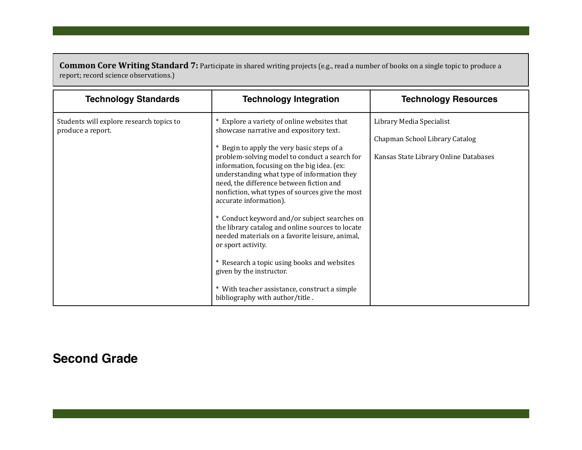**Common Core Writing Standard 7:** Participate in shared writing projects (e.g., read a number of books on a single topic to produce a report; record science observations.)

| <b>Technology Standards</b>                                   | <b>Technology Integration</b>                                                                                                                                                                                                                                                                                                                                                                                                                                                                                                                                                                                                                                                                                                                            | <b>Technology Resources</b>                                                                         |
|---------------------------------------------------------------|----------------------------------------------------------------------------------------------------------------------------------------------------------------------------------------------------------------------------------------------------------------------------------------------------------------------------------------------------------------------------------------------------------------------------------------------------------------------------------------------------------------------------------------------------------------------------------------------------------------------------------------------------------------------------------------------------------------------------------------------------------|-----------------------------------------------------------------------------------------------------|
| Students will explore research topics to<br>produce a report. | * Explore a variety of online websites that<br>showcase narrative and expository text.<br>* Begin to apply the very basic steps of a<br>problem-solving model to conduct a search for<br>information, focusing on the big idea. (ex:<br>understanding what type of information they<br>need, the difference between fiction and<br>nonfiction, what types of sources give the most<br>accurate information).<br>* Conduct keyword and/or subject searches on<br>the library catalog and online sources to locate<br>needed materials on a favorite leisure, animal,<br>or sport activity.<br>* Research a topic using books and websites<br>given by the instructor.<br>* With teacher assistance, construct a simple<br>bibliography with author/title. | Library Media Specialist<br>Chapman School Library Catalog<br>Kansas State Library Online Databases |

# **Second Grade**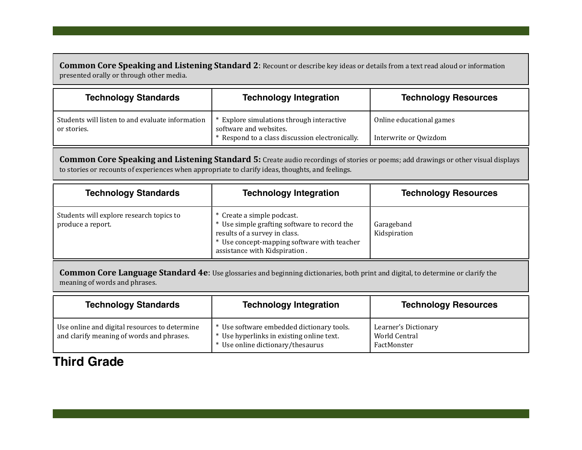**Common Core Speaking and Listening Standard 2: Recount or describe key ideas or details from a text read aloud or information** presented orally or through other media.

| <b>Technology Standards</b>                                     | <b>Technology Integration</b>                                                                                        | <b>Technology Resources</b>                       |
|-----------------------------------------------------------------|----------------------------------------------------------------------------------------------------------------------|---------------------------------------------------|
| Students will listen to and evaluate information<br>or stories. | Explore simulations through interactive<br>software and websites.<br>* Respond to a class discussion electronically. | Online educational games<br>Interwrite or Qwizdom |
|                                                                 |                                                                                                                      |                                                   |

**Common Core Speaking and Listening Standard 5:** Create audio recordings of stories or poems; add drawings or other visual displays to stories or recounts of experiences when appropriate to clarify ideas, thoughts, and feelings.

| <b>Technology Standards</b>                                   | <b>Technology Integration</b>                                                                                                                                                               | <b>Technology Resources</b> |
|---------------------------------------------------------------|---------------------------------------------------------------------------------------------------------------------------------------------------------------------------------------------|-----------------------------|
| Students will explore research topics to<br>produce a report. | * Create a simple podcast.<br>* Use simple grafting software to record the<br>results of a survey in class.<br>* Use concept-mapping software with teacher<br>assistance with Kidspiration. | Garageband<br>Kidspiration  |

**Common Core Language Standard 4e**: Use glossaries and beginning dictionaries, both print and digital, to determine or clarify the meaning of words and phrases.

| <b>Technology Standards</b>                                                                | <b>Technology Integration</b>                                                                                               | <b>Technology Resources</b>                          |
|--------------------------------------------------------------------------------------------|-----------------------------------------------------------------------------------------------------------------------------|------------------------------------------------------|
| Use online and digital resources to determine<br>and clarify meaning of words and phrases. | * Use software embedded dictionary tools.<br>* Use hyperlinks in existing online text.<br>* Use online dictionary/thesaurus | Learner's Dictionary<br>World Central<br>FactMonster |

## **Third Grade**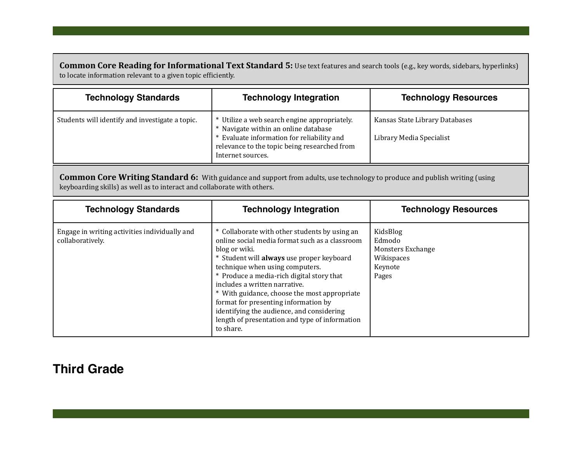**Common Core Reading for Informational Text Standard 5:** Use text features and search tools (e.g., key words, sidebars, hyperlinks) to locate information relevant to a given topic efficiently.

| <b>Technology Standards</b>                     | <b>Technology Integration</b>                                                                                                                                                                           | <b>Technology Resources</b>                                |
|-------------------------------------------------|---------------------------------------------------------------------------------------------------------------------------------------------------------------------------------------------------------|------------------------------------------------------------|
| Students will identify and investigate a topic. | * Utilize a web search engine appropriately.<br>* Navigate within an online database<br>* Evaluate information for reliability and<br>relevance to the topic being researched from<br>Internet sources. | Kansas State Library Databases<br>Library Media Specialist |

**Common Core Writing Standard 6:** With guidance and support from adults, use technology to produce and publish writing (using keyboarding skills) as well as to interact and collaborate with others.

| <b>Technology Standards</b>                                       | <b>Technology Integration</b>                                                                                                                                                                                                                                                                                                                                                                                                                                                      | <b>Technology Resources</b>                                               |
|-------------------------------------------------------------------|------------------------------------------------------------------------------------------------------------------------------------------------------------------------------------------------------------------------------------------------------------------------------------------------------------------------------------------------------------------------------------------------------------------------------------------------------------------------------------|---------------------------------------------------------------------------|
| Engage in writing activities individually and<br>collaboratively. | * Collaborate with other students by using an<br>online social media format such as a classroom<br>blog or wiki.<br>* Student will always use proper keyboard<br>technique when using computers.<br>* Produce a media-rich digital story that<br>includes a written narrative.<br>* With guidance, choose the most appropriate<br>format for presenting information by<br>identifying the audience, and considering<br>length of presentation and type of information<br>to share. | KidsBlog<br>Edmodo<br>Monsters Exchange<br>Wikispaces<br>Keynote<br>Pages |

## **Third Grade**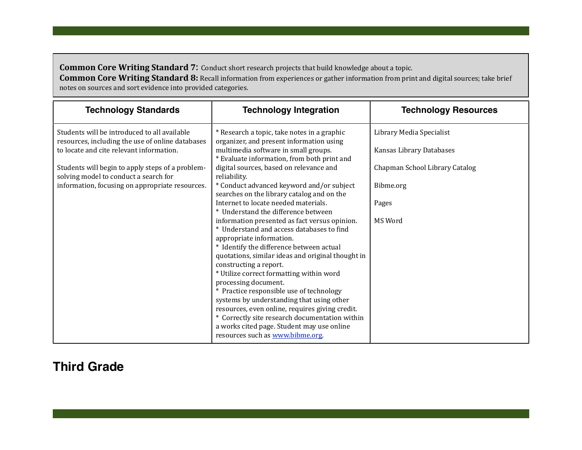**Common Core Writing Standard 7:** Conduct short research projects that build knowledge about a topic.

**Common Core Writing Standard 8:** Recall information from experiences or gather information from print and digital sources; take brief notes on sources and sort evidence into provided categories.

| <b>Technology Standards</b>                                                                      | <b>Technology Integration</b>                                                                                                    | <b>Technology Resources</b>    |
|--------------------------------------------------------------------------------------------------|----------------------------------------------------------------------------------------------------------------------------------|--------------------------------|
| Students will be introduced to all available<br>resources, including the use of online databases | * Research a topic, take notes in a graphic<br>organizer, and present information using                                          | Library Media Specialist       |
| to locate and cite relevant information.                                                         | multimedia software in small groups.<br>* Evaluate information, from both print and                                              | Kansas Library Databases       |
| Students will begin to apply steps of a problem-<br>solving model to conduct a search for        | digital sources, based on relevance and<br>reliability.                                                                          | Chapman School Library Catalog |
| information, focusing on appropriate resources.                                                  | * Conduct advanced keyword and/or subject<br>searches on the library catalog and on the                                          | Bibme.org                      |
|                                                                                                  | Internet to locate needed materials.<br>* Understand the difference between                                                      | Pages                          |
|                                                                                                  | information presented as fact versus opinion.<br>* Understand and access databases to find                                       | MS Word                        |
|                                                                                                  | appropriate information.<br>* Identify the difference between actual                                                             |                                |
|                                                                                                  | quotations, similar ideas and original thought in<br>constructing a report.                                                      |                                |
|                                                                                                  | * Utilize correct formatting within word<br>processing document.                                                                 |                                |
|                                                                                                  | * Practice responsible use of technology<br>systems by understanding that using other                                            |                                |
|                                                                                                  | resources, even online, requires giving credit.                                                                                  |                                |
|                                                                                                  | * Correctly site research documentation within<br>a works cited page. Student may use online<br>resources such as www.bibme.org. |                                |

## **Third Grade**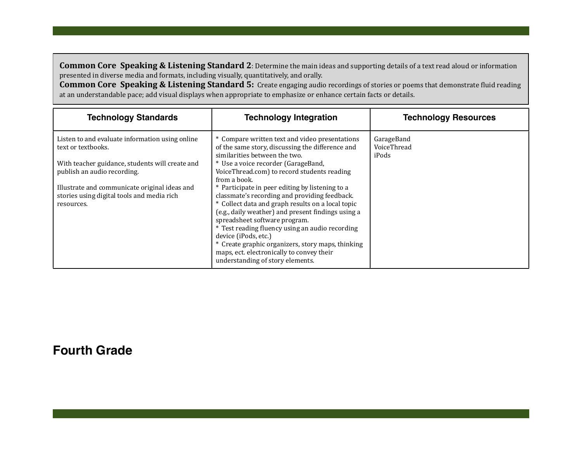**Common Core Speaking & Listening Standard 2**: Determine the main ideas and supporting details of a text read aloud or information presented in diverse media and formats, including visually, quantitatively, and orally.

**Common Core Speaking & Listening Standard 5:** Create engaging audio recordings of stories or poems that demonstrate fluid reading at an understandable pace; add visual displays when appropriate to emphasize or enhance certain facts or details.

| <b>Technology Standards</b>                                                                               | <b>Technology Integration</b>                                                                                                                                                                                                                | <b>Technology Resources</b>        |
|-----------------------------------------------------------------------------------------------------------|----------------------------------------------------------------------------------------------------------------------------------------------------------------------------------------------------------------------------------------------|------------------------------------|
| Listen to and evaluate information using online<br>text or textbooks.                                     | * Compare written text and video presentations<br>of the same story, discussing the difference and<br>similarities between the two.                                                                                                          | GarageBand<br>VoiceThread<br>iPods |
| With teacher guidance, students will create and<br>publish an audio recording.                            | * Use a voice recorder (GarageBand,<br>VoiceThread.com) to record students reading<br>from a book.                                                                                                                                           |                                    |
| Illustrate and communicate original ideas and<br>stories using digital tools and media rich<br>resources. | * Participate in peer editing by listening to a<br>classmate's recording and providing feedback.<br>* Collect data and graph results on a local topic<br>(e.g., daily weather) and present findings using a<br>spreadsheet software program. |                                    |
|                                                                                                           | * Test reading fluency using an audio recording<br>device (iPods, etc.)<br>* Create graphic organizers, story maps, thinking<br>maps, ect. electronically to convey their<br>understanding of story elements.                                |                                    |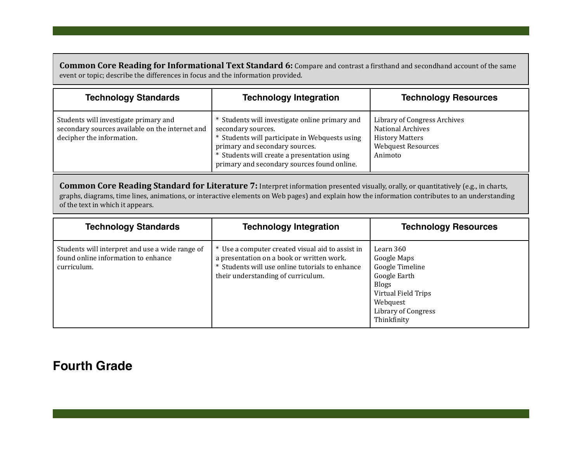**Common Core Reading for Informational Text Standard 6:** Compare and contrast a firsthand and secondhand account of the same event or topic; describe the differences in focus and the information provided.

| <b>Technology Standards</b>                                                                                           | <b>Technology Integration</b>                                                                                                                                                                                                                          | <b>Technology Resources</b>                                                                                                |
|-----------------------------------------------------------------------------------------------------------------------|--------------------------------------------------------------------------------------------------------------------------------------------------------------------------------------------------------------------------------------------------------|----------------------------------------------------------------------------------------------------------------------------|
| Students will investigate primary and<br>secondary sources available on the internet and<br>decipher the information. | * Students will investigate online primary and<br>secondary sources.<br>* Students will participate in Webquests using<br>primary and secondary sources.<br>* Students will create a presentation using<br>primary and secondary sources found online. | Library of Congress Archives<br><b>National Archives</b><br><b>History Matters</b><br><b>Webquest Resources</b><br>Animoto |

**Common Core Reading Standard for Literature 7:** Interpret information presented visually, orally, or quantitatively (e.g., in charts, graphs, diagrams, time lines, animations, or interactive elements on Web pages) and explain how the information contributes to an understanding of the text in which it appears.

| <b>Technology Standards</b>                                                                           | <b>Technology Integration</b>                                                                                                                                                          | <b>Technology Resources</b>                                                                                                                          |
|-------------------------------------------------------------------------------------------------------|----------------------------------------------------------------------------------------------------------------------------------------------------------------------------------------|------------------------------------------------------------------------------------------------------------------------------------------------------|
| Students will interpret and use a wide range of<br>found online information to enhance<br>curriculum. | * Use a computer created visual aid to assist in<br>a presentation on a book or written work.<br>* Students will use online tutorials to enhance<br>their understanding of curriculum. | Learn 360<br>Google Maps<br>Google Timeline<br>Google Earth<br><b>Blogs</b><br>Virtual Field Trips<br>Webquest<br>Library of Congress<br>Thinkfinity |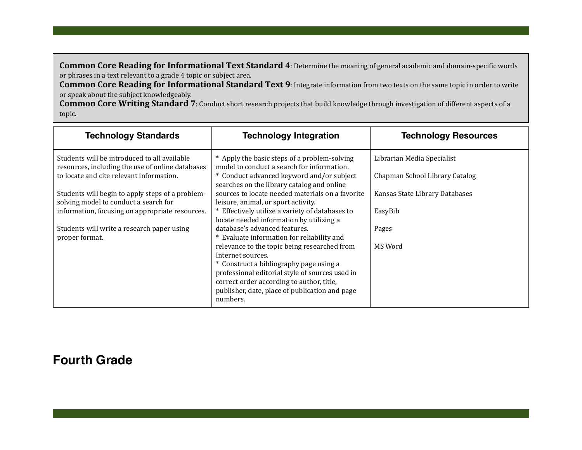**Common Core Reading for Informational Text Standard 4**: Determine the meaning of general academic and domain-specific words or phrases in a text relevant to a grade 4 topic or subject area.

**Common Core Reading for Informational Standard Text 9:** Integrate information from two texts on the same topic in order to write or speak about the subject knowledgeably.

**Common Core Writing Standard 7**: Conduct short research projects that build knowledge through investigation of different aspects of a topic.

| <b>Technology Standards</b>                                                                      | <b>Technology Integration</b>                                                                                                                                                                                                                                              | <b>Technology Resources</b>    |
|--------------------------------------------------------------------------------------------------|----------------------------------------------------------------------------------------------------------------------------------------------------------------------------------------------------------------------------------------------------------------------------|--------------------------------|
| Students will be introduced to all available<br>resources, including the use of online databases | * Apply the basic steps of a problem-solving<br>model to conduct a search for information.                                                                                                                                                                                 | Librarian Media Specialist     |
| to locate and cite relevant information.                                                         | * Conduct advanced keyword and/or subject<br>searches on the library catalog and online                                                                                                                                                                                    | Chapman School Library Catalog |
| Students will begin to apply steps of a problem-<br>solving model to conduct a search for        | sources to locate needed materials on a favorite<br>leisure, animal, or sport activity.                                                                                                                                                                                    | Kansas State Library Databases |
| information, focusing on appropriate resources.                                                  | * Effectively utilize a variety of databases to<br>locate needed information by utilizing a                                                                                                                                                                                | EasyBib                        |
| Students will write a research paper using<br>proper format.                                     | database's advanced features.<br>* Evaluate information for reliability and                                                                                                                                                                                                | Pages                          |
|                                                                                                  | relevance to the topic being researched from<br>Internet sources.<br>* Construct a bibliography page using a<br>professional editorial style of sources used in<br>correct order according to author, title,<br>publisher, date, place of publication and page<br>numbers. | MS Word                        |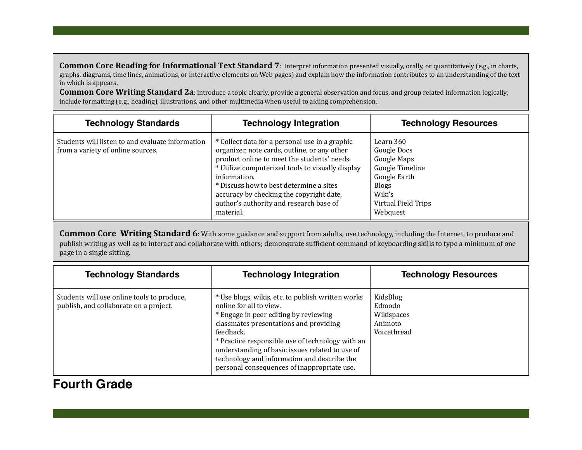**Common Core Reading for Informational Text Standard 7**: Interpret information presented visually, orally, or quantitatively (e.g., in charts, graphs, diagrams, time lines, animations, or interactive elements on Web pages) and explain how the information contributes to an understanding of the text in which is appears.

**Common Core Writing Standard 2a:** introduce a topic clearly, provide a general observation and focus, and group related information logically; include formatting (e.g., heading), illustrations, and other multimedia when useful to aiding comprehension.

| <b>Technology Standards</b>                                                           | <b>Technology Integration</b>                                                                                                                                                                                                                                                                                                                                    | <b>Technology Resources</b>                                                                                                             |
|---------------------------------------------------------------------------------------|------------------------------------------------------------------------------------------------------------------------------------------------------------------------------------------------------------------------------------------------------------------------------------------------------------------------------------------------------------------|-----------------------------------------------------------------------------------------------------------------------------------------|
| Students will listen to and evaluate information<br>from a variety of online sources. | * Collect data for a personal use in a graphic<br>organizer, note cards, outline, or any other<br>product online to meet the students' needs.<br>* Utilize computerized tools to visually display<br>information.<br>* Discuss how to best determine a sites<br>accuracy by checking the copyright date,<br>author's authority and research base of<br>material. | Learn 360<br>Google Docs<br>Google Maps<br>Google Timeline<br>Google Earth<br><b>Blogs</b><br>Wiki's<br>Virtual Field Trips<br>Webquest |

**Common Core Writing Standard 6**: With some guidance and support from adults, use technology, including the Internet, to produce and publish writing as well as to interact and collaborate with others; demonstrate sufficient command of keyboarding skills to type a minimum of one page in a single sitting.

| <b>Technology Standards</b>                                                          | <b>Technology Integration</b>                                                                                                                                                                                                                                                                                                                                                     | <b>Technology Resources</b>                                |
|--------------------------------------------------------------------------------------|-----------------------------------------------------------------------------------------------------------------------------------------------------------------------------------------------------------------------------------------------------------------------------------------------------------------------------------------------------------------------------------|------------------------------------------------------------|
| Students will use online tools to produce,<br>publish, and collaborate on a project. | * Use blogs, wikis, etc. to publish written works<br>online for all to view.<br>* Engage in peer editing by reviewing<br>classmates presentations and providing<br>feedback.<br>* Practice responsible use of technology with an<br>understanding of basic issues related to use of<br>technology and information and describe the<br>personal consequences of inappropriate use. | KidsBlog<br>Edmodo<br>Wikispaces<br>Animoto<br>Voicethread |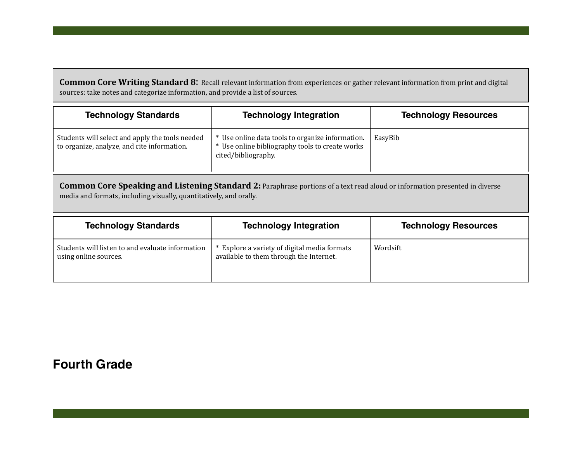**Common Core Writing Standard 8:** Recall relevant information from experiences or gather relevant information from print and digital sources: take notes and categorize information, and provide a list of sources.

| <b>Technology Standards</b>                                                                    | <b>Technology Integration</b>                                                                                              | <b>Technology Resources</b> |
|------------------------------------------------------------------------------------------------|----------------------------------------------------------------------------------------------------------------------------|-----------------------------|
| Students will select and apply the tools needed<br>to organize, analyze, and cite information. | * Use online data tools to organize information.<br>* Use online bibliography tools to create works<br>cited/bibliography. | EasyBib                     |

**Common Core Speaking and Listening Standard 2:** Paraphrase portions of a text read aloud or information presented in diverse media and formats, including visually, quantitatively, and orally.

| <b>Technology Standards</b>                                               | <b>Technology Integration</b>                                                           | <b>Technology Resources</b> |
|---------------------------------------------------------------------------|-----------------------------------------------------------------------------------------|-----------------------------|
| Students will listen to and evaluate information<br>using online sources. | * Explore a variety of digital media formats<br>available to them through the Internet. | Wordsift                    |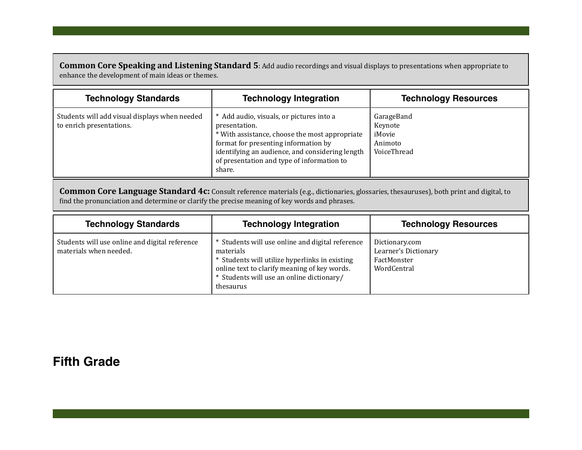**Common Core Speaking and Listening Standard 5:** Add audio recordings and visual displays to presentations when appropriate to enhance the development of main ideas or themes.

| <b>Technology Standards</b>                                               | <b>Technology Integration</b>                                                                                                                                                                                                                                  | <b>Technology Resources</b>                               |
|---------------------------------------------------------------------------|----------------------------------------------------------------------------------------------------------------------------------------------------------------------------------------------------------------------------------------------------------------|-----------------------------------------------------------|
| Students will add visual displays when needed<br>to enrich presentations. | * Add audio, visuals, or pictures into a<br>presentation.<br>* With assistance, choose the most appropriate<br>format for presenting information by<br>identifying an audience, and considering length<br>of presentation and type of information to<br>share. | GarageBand<br>Keynote<br>iMovie<br>Animoto<br>VoiceThread |

Common Core Language Standard 4c: Consult reference materials (e.g., dictionaries, glossaries, thesauruses), both print and digital, to find the pronunciation and determine or clarify the precise meaning of key words and phrases.

| <b>Technology Standards</b>                                              | <b>Technology Integration</b>                                                                                                                                                                                             | <b>Technology Resources</b>                                          |
|--------------------------------------------------------------------------|---------------------------------------------------------------------------------------------------------------------------------------------------------------------------------------------------------------------------|----------------------------------------------------------------------|
| Students will use online and digital reference<br>materials when needed. | * Students will use online and digital reference<br>materials<br>* Students will utilize hyperlinks in existing<br>online text to clarify meaning of key words.<br>* Students will use an online dictionary/<br>thesaurus | Dictionary.com<br>Learner's Dictionary<br>FactMonster<br>WordCentral |

## **Fifth Grade**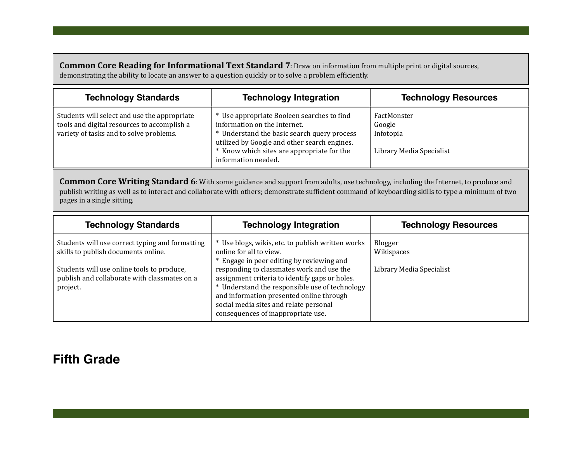**Common Core Reading for Informational Text Standard 7:** Draw on information from multiple print or digital sources, demonstrating the ability to locate an answer to a question quickly or to solve a problem efficiently.

| <b>Technology Standards</b>                                                                                                            | <b>Technology Integration</b>                                                                                                                                                                                                                  | <b>Technology Resources</b>                                    |
|----------------------------------------------------------------------------------------------------------------------------------------|------------------------------------------------------------------------------------------------------------------------------------------------------------------------------------------------------------------------------------------------|----------------------------------------------------------------|
| Students will select and use the appropriate<br>tools and digital resources to accomplish a<br>variety of tasks and to solve problems. | * Use appropriate Booleen searches to find<br>information on the Internet.<br>* Understand the basic search query process<br>utilized by Google and other search engines.<br>* Know which sites are appropriate for the<br>information needed. | FactMonster<br>Google<br>Infotopia<br>Library Media Specialist |

**Common Core Writing Standard 6**: With some guidance and support from adults, use technology, including the Internet, to produce and publish writing as well as to interact and collaborate with others; demonstrate sufficient command of keyboarding skills to type a minimum of two pages in a single sitting.

| <b>Technology Standards</b>                                                                            | <b>Technology Integration</b>                                                                                                                                                                                                                                             | <b>Technology Resources</b> |
|--------------------------------------------------------------------------------------------------------|---------------------------------------------------------------------------------------------------------------------------------------------------------------------------------------------------------------------------------------------------------------------------|-----------------------------|
| Students will use correct typing and formatting<br>skills to publish documents online.                 | Use blogs, wikis, etc. to publish written works<br>online for all to view.<br>Engage in peer editing by reviewing and                                                                                                                                                     | Blogger<br>Wikispaces       |
| Students will use online tools to produce,<br>publish and collaborate with classmates on a<br>project. | responding to classmates work and use the<br>assignment criteria to identify gaps or holes.<br>* Understand the responsible use of technology<br>and information presented online through<br>social media sites and relate personal<br>consequences of inappropriate use. | Library Media Specialist    |

# **Fifth Grade**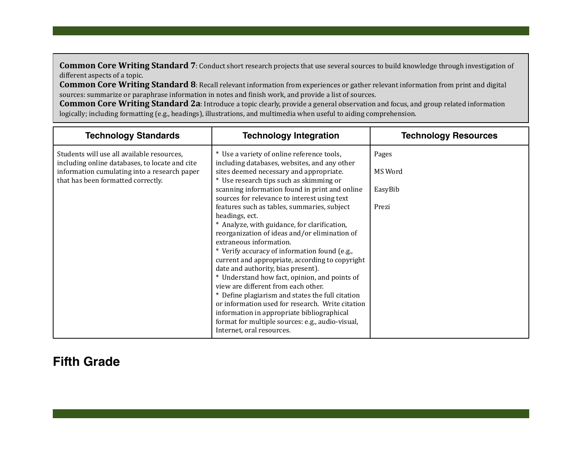**Common Core Writing Standard 7**: Conduct short research projects that use several sources to build knowledge through investigation of different aspects of a topic.

**Common Core Writing Standard 8**: Recall relevant information from experiences or gather relevant information from print and digital sources: summarize or paraphrase information in notes and finish work, and provide a list of sources.

**Common Core Writing Standard 2a:** Introduce a topic clearly, provide a general observation and focus, and group related information logically; including formatting (e.g., headings), illustrations, and multimedia when useful to aiding comprehension.

| <b>Technology Standards</b>                                                                  | <b>Technology Integration</b>                                                                    | <b>Technology Resources</b> |
|----------------------------------------------------------------------------------------------|--------------------------------------------------------------------------------------------------|-----------------------------|
| Students will use all available resources,<br>including online databases, to locate and cite | * Use a variety of online reference tools,<br>including databases, websites, and any other       | Pages                       |
| information cumulating into a research paper<br>that has been formatted correctly.           | sites deemed necessary and appropriate.<br>* Use research tips such as skimming or               | MS Word                     |
|                                                                                              | scanning information found in print and online<br>sources for relevance to interest using text   | EasyBib                     |
|                                                                                              | features such as tables, summaries, subject<br>headings, ect.                                    | Prezi                       |
|                                                                                              | * Analyze, with guidance, for clarification,                                                     |                             |
|                                                                                              | reorganization of ideas and/or elimination of<br>extraneous information.                         |                             |
|                                                                                              | * Verify accuracy of information found (e.g.,<br>current and appropriate, according to copyright |                             |
|                                                                                              | date and authority, bias present).                                                               |                             |
|                                                                                              | * Understand how fact, opinion, and points of<br>view are different from each other.             |                             |
|                                                                                              | * Define plagiarism and states the full citation                                                 |                             |
|                                                                                              | or information used for research. Write citation<br>information in appropriate bibliographical   |                             |
|                                                                                              | format for multiple sources: e.g., audio-visual,<br>Internet, oral resources.                    |                             |

## **Fifth Grade**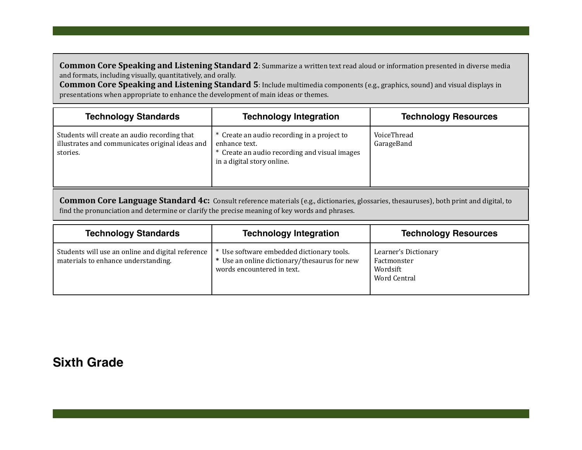**Common Core Speaking and Listening Standard 2**: Summarize a written text read aloud or information presented in diverse media and formats, including visually, quantitatively, and orally.

**Common Core Speaking and Listening Standard 5**: Include multimedia components (e.g., graphics, sound) and visual displays in presentations when appropriate to enhance the development of main ideas or themes.

| <b>Technology Standards</b>                                                                                 | <b>Technology Integration</b>                                                                                                               | <b>Technology Resources</b> |
|-------------------------------------------------------------------------------------------------------------|---------------------------------------------------------------------------------------------------------------------------------------------|-----------------------------|
| Students will create an audio recording that<br>illustrates and communicates original ideas and<br>stories. | * Create an audio recording in a project to<br>enhance text.<br>* Create an audio recording and visual images<br>in a digital story online. | VoiceThread<br>GarageBand   |

**Common Core Language Standard 4c:** Consult reference materials (e.g., dictionaries, glossaries, thesauruses), both print and digital, to find the pronunciation and determine or clarify the precise meaning of key words and phrases.

| <b>Technology Standards</b>                                                              | <b>Technology Integration</b>                                                                                         | <b>Technology Resources</b>                                            |
|------------------------------------------------------------------------------------------|-----------------------------------------------------------------------------------------------------------------------|------------------------------------------------------------------------|
| Students will use an online and digital reference<br>materials to enhance understanding. | Use software embedded dictionary tools.<br>* Use an online dictionary/thesaurus for new<br>words encountered in text. | Learner's Dictionary<br>Factmonster<br>Wordsift<br><b>Word Central</b> |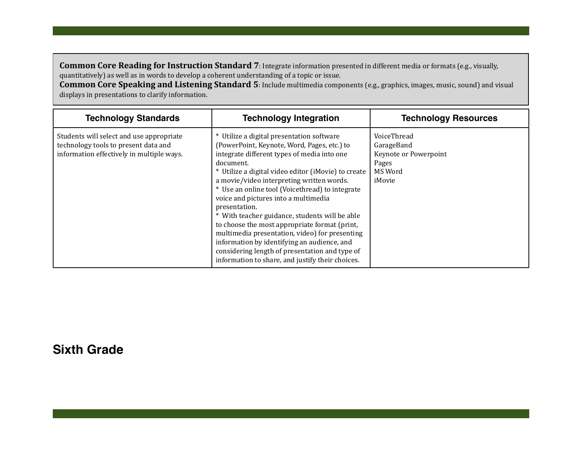**Common Core Reading for Instruction Standard 7**: Integrate information presented in different media or formats (e.g., visually, quantitatively) as well as in words to develop a coherent understanding of a topic or issue.

**Common Core Speaking and Listening Standard 5:** Include multimedia components (e.g., graphics, images, music, sound) and visual displays in presentations to clarify information.

| <b>Technology Standards</b>                                                                                                   | <b>Technology Integration</b>                                                                                                                                                                                                                                                                                                                                                                                                                                                                                                                                                                                                                                                  | <b>Technology Resources</b>                                                      |
|-------------------------------------------------------------------------------------------------------------------------------|--------------------------------------------------------------------------------------------------------------------------------------------------------------------------------------------------------------------------------------------------------------------------------------------------------------------------------------------------------------------------------------------------------------------------------------------------------------------------------------------------------------------------------------------------------------------------------------------------------------------------------------------------------------------------------|----------------------------------------------------------------------------------|
| Students will select and use appropriate<br>technology tools to present data and<br>information effectively in multiple ways. | * Utilize a digital presentation software<br>(PowerPoint, Keynote, Word, Pages, etc.) to<br>integrate different types of media into one<br>document.<br>* Utilize a digital video editor (iMovie) to create<br>a movie/video interpreting written words.<br>* Use an online tool (Voicethread) to integrate<br>voice and pictures into a multimedia<br>presentation.<br>* With teacher guidance, students will be able<br>to choose the most appropriate format (print,<br>multimedia presentation, video) for presenting<br>information by identifying an audience, and<br>considering length of presentation and type of<br>information to share, and justify their choices. | VoiceThread<br>GarageBand<br>Keynote or Powerpoint<br>Pages<br>MS Word<br>iMovie |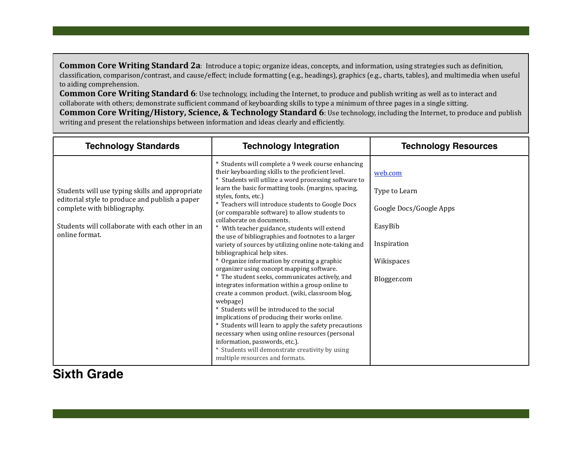**Common Core Writing Standard 2a**: Introduce a topic; organize ideas, concepts, and information, using strategies such as definition, classification, comparison/contrast, and cause/effect; include formatting (e.g., headings), graphics (e.g., charts, tables), and multimedia when useful to aiding comprehension.

**Common Core Writing Standard 6**: Use technology, including the Internet, to produce and publish writing as well as to interact and collaborate with others; demonstrate sufficient command of keyboarding skills to type a minimum of three pages in a single sitting. **Common Core Writing/History, Science, & Technology Standard 6:** Use technology, including the Internet, to produce and publish writing and present the relationships between information and ideas clearly and efficiently.

| <b>Technology Standards</b>                                                                                                                                                                           | <b>Technology Integration</b>                                                                                                                                                                                                                                                                                                                                                                                                                                                                                                                                                                                                                                                                                                                                                                                                                                                                                                                                                                                                                                                                                                                                                            | <b>Technology Resources</b>                                                                                |
|-------------------------------------------------------------------------------------------------------------------------------------------------------------------------------------------------------|------------------------------------------------------------------------------------------------------------------------------------------------------------------------------------------------------------------------------------------------------------------------------------------------------------------------------------------------------------------------------------------------------------------------------------------------------------------------------------------------------------------------------------------------------------------------------------------------------------------------------------------------------------------------------------------------------------------------------------------------------------------------------------------------------------------------------------------------------------------------------------------------------------------------------------------------------------------------------------------------------------------------------------------------------------------------------------------------------------------------------------------------------------------------------------------|------------------------------------------------------------------------------------------------------------|
| Students will use typing skills and appropriate<br>editorial style to produce and publish a paper<br>complete with bibliography.<br>Students will collaborate with each other in an<br>online format. | * Students will complete a 9 week course enhancing<br>their keyboarding skills to the proficient level.<br>* Students will utilize a word processing software to<br>learn the basic formatting tools. (margins, spacing,<br>styles, fonts, etc.)<br>* Teachers will introduce students to Google Docs<br>(or comparable software) to allow students to<br>collaborate on documents.<br>With teacher guidance, students will extend<br>the use of bibliographies and footnotes to a larger<br>variety of sources by utilizing online note-taking and<br>bibliographical help sites.<br>* Organize information by creating a graphic<br>organizer using concept mapping software.<br>* The student seeks, communicates actively, and<br>integrates information within a group online to<br>create a common product. (wiki, classroom blog,<br>webpage)<br>* Students will be introduced to the social<br>implications of producing their works online.<br>* Students will learn to apply the safety precautions<br>necessary when using online resources (personal<br>information, passwords, etc.).<br>* Students will demonstrate creativity by using<br>multiple resources and formats. | web.com<br>Type to Learn<br>Google Docs/Google Apps<br>EasyBib<br>Inspiration<br>Wikispaces<br>Blogger.com |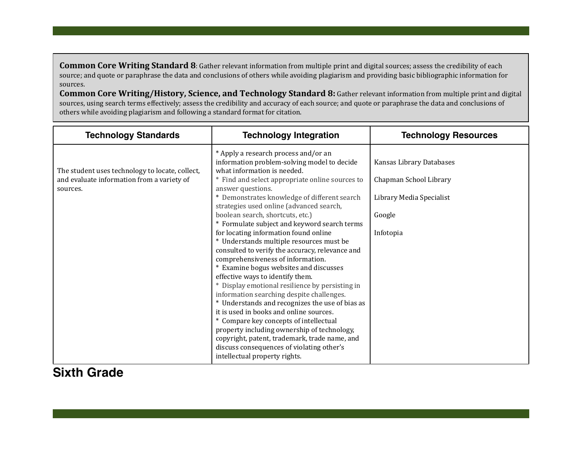**Common Core Writing Standard 8**: Gather relevant information from multiple print and digital sources; assess the credibility of each source; and quote or paraphrase the data and conclusions of others while avoiding plagiarism and providing basic bibliographic information for sources.

**Common Core Writing/History, Science, and Technology Standard 8:** Gather relevant information from multiple print and digital sources, using search terms effectively; assess the credibility and accuracy of each source; and quote or paraphrase the data and conclusions of others while avoiding plagiarism and following a standard format for citation.

| <b>Technology Standards</b>                                                                               | <b>Technology Integration</b>                                                                                                                                                                                                                                                                                                                                                                                                                                                                                                                                                                                                                                                                                                                                                                                                                                                 | <b>Technology Resources</b>                                                                           |
|-----------------------------------------------------------------------------------------------------------|-------------------------------------------------------------------------------------------------------------------------------------------------------------------------------------------------------------------------------------------------------------------------------------------------------------------------------------------------------------------------------------------------------------------------------------------------------------------------------------------------------------------------------------------------------------------------------------------------------------------------------------------------------------------------------------------------------------------------------------------------------------------------------------------------------------------------------------------------------------------------------|-------------------------------------------------------------------------------------------------------|
| The student uses technology to locate, collect,<br>and evaluate information from a variety of<br>sources. | * Apply a research process and/or an<br>information problem-solving model to decide<br>what information is needed.<br>* Find and select appropriate online sources to<br>answer questions.<br>* Demonstrates knowledge of different search<br>strategies used online (advanced search,<br>boolean search, shortcuts, etc.)<br>* Formulate subject and keyword search terms<br>for locating information found online<br>* Understands multiple resources must be<br>consulted to verify the accuracy, relevance and<br>comprehensiveness of information.<br>* Examine bogus websites and discusses<br>effective ways to identify them.<br>* Display emotional resilience by persisting in<br>information searching despite challenges.<br>* Understands and recognizes the use of bias as<br>it is used in books and online sources.<br>* Compare key concepts of intellectual | Kansas Library Databases<br>Chapman School Library<br>Library Media Specialist<br>Google<br>Infotopia |
|                                                                                                           | property including ownership of technology,<br>copyright, patent, trademark, trade name, and<br>discuss consequences of violating other's<br>intellectual property rights.                                                                                                                                                                                                                                                                                                                                                                                                                                                                                                                                                                                                                                                                                                    |                                                                                                       |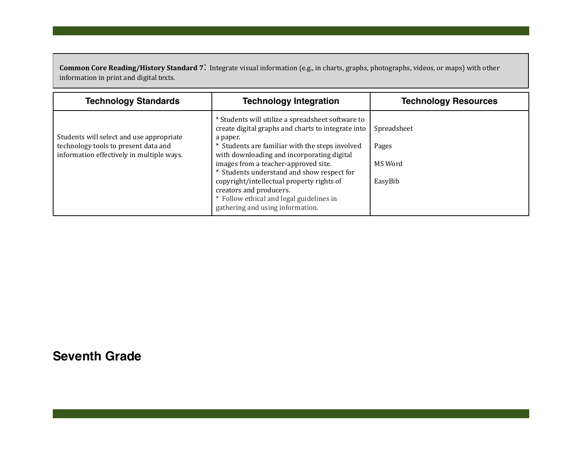Common Core Reading/History Standard 7: Integrate visual information (e.g., in charts, graphs, photographs, videos, or maps) with other information in print and digital texts.

| <b>Technology Standards</b>                                                                                                   | <b>Technology Integration</b>                                                                                                                                                                                                                                                                                                                                                                                                                                      | <b>Technology Resources</b>                |
|-------------------------------------------------------------------------------------------------------------------------------|--------------------------------------------------------------------------------------------------------------------------------------------------------------------------------------------------------------------------------------------------------------------------------------------------------------------------------------------------------------------------------------------------------------------------------------------------------------------|--------------------------------------------|
| Students will select and use appropriate<br>technology tools to present data and<br>information effectively in multiple ways. | * Students will utilize a spreadsheet software to<br>create digital graphs and charts to integrate into<br>a paper.<br>* Students are familiar with the steps involved<br>with downloading and incorporating digital<br>images from a teacher-approved site.<br>* Students understand and show respect for<br>copyright/intellectual property rights of<br>creators and producers.<br>* Follow ethical and legal guidelines in<br>gathering and using information. | Spreadsheet<br>Pages<br>MS Word<br>EasyBib |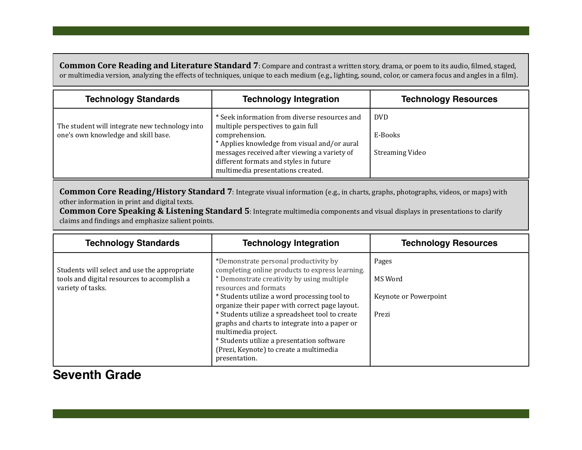**Common Core Reading and Literature Standard 7**: Compare and contrast a written story, drama, or poem to its audio, filmed, staged, or multimedia version, analyzing the effects of techniques, unique to each medium (e.g., lighting, sound, color, or camera focus and angles in a film).

| <b>Technology Standards</b>                                                           | <b>Technology Integration</b>                                                                                                                                                                                                                                                        | <b>Technology Resources</b>               |
|---------------------------------------------------------------------------------------|--------------------------------------------------------------------------------------------------------------------------------------------------------------------------------------------------------------------------------------------------------------------------------------|-------------------------------------------|
| The student will integrate new technology into<br>one's own knowledge and skill base. | * Seek information from diverse resources and<br>multiple perspectives to gain full<br>comprehension.<br>* Applies knowledge from visual and/or aural<br>messages received after viewing a variety of<br>different formats and styles in future<br>multimedia presentations created. | DVD.<br>E-Books<br><b>Streaming Video</b> |

**Common Core Reading/History Standard 7:** Integrate visual information (e.g., in charts, graphs, photographs, videos, or maps) with other information in print and digital texts.

**Common Core Speaking & Listening Standard 5**: Integrate multimedia components and visual displays in presentations to clarify claims and findings and emphasize salient points.

| <b>Technology Standards</b>                                                                                      | <b>Technology Integration</b>                                                                                                                                                                                                                                                                                                                                                                                                                                                                           | <b>Technology Resources</b>                        |
|------------------------------------------------------------------------------------------------------------------|---------------------------------------------------------------------------------------------------------------------------------------------------------------------------------------------------------------------------------------------------------------------------------------------------------------------------------------------------------------------------------------------------------------------------------------------------------------------------------------------------------|----------------------------------------------------|
| Students will select and use the appropriate<br>tools and digital resources to accomplish a<br>variety of tasks. | *Demonstrate personal productivity by<br>completing online products to express learning.<br>* Demonstrate creativity by using multiple<br>resources and formats<br>* Students utilize a word processing tool to<br>organize their paper with correct page layout.<br>* Students utilize a spreadsheet tool to create<br>graphs and charts to integrate into a paper or<br>multimedia project.<br>* Students utilize a presentation software<br>(Prezi, Keynote) to create a multimedia<br>presentation. | Pages<br>MS Word<br>Keynote or Powerpoint<br>Prezi |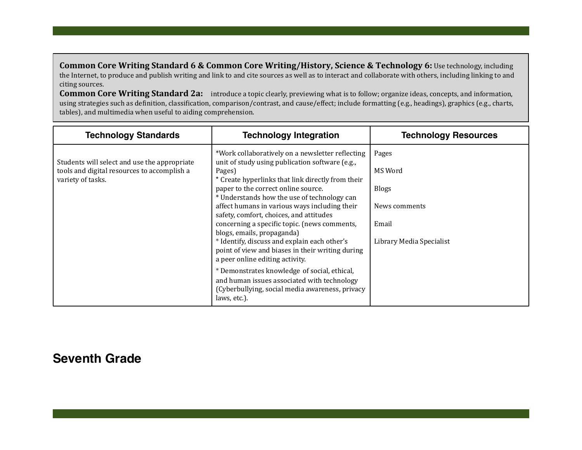**Common Core Writing Standard 6 & Common Core Writing/History, Science & Technology 6:** Use technology, including the Internet, to produce and publish writing and link to and cite sources as well as to interact and collaborate with others, including linking to and citing sources.

**Common Core Writing Standard 2a:** introduce a topic clearly, previewing what is to follow; organize ideas, concepts, and information, using strategies such as definition, classification, comparison/contrast, and cause/effect; include formatting (e.g., headings), graphics (e.g., charts, tables), and multimedia when useful to aiding comprehension.

| <b>Technology Standards</b>                                                                                      | <b>Technology Integration</b>                                                                                                                                                                                                                                                                                                                                                                                                                                                                                                                                             | <b>Technology Resources</b>                                                            |
|------------------------------------------------------------------------------------------------------------------|---------------------------------------------------------------------------------------------------------------------------------------------------------------------------------------------------------------------------------------------------------------------------------------------------------------------------------------------------------------------------------------------------------------------------------------------------------------------------------------------------------------------------------------------------------------------------|----------------------------------------------------------------------------------------|
| Students will select and use the appropriate<br>tools and digital resources to accomplish a<br>variety of tasks. | *Work collaboratively on a newsletter reflecting<br>unit of study using publication software (e.g.,<br>Pages)<br>* Create hyperlinks that link directly from their<br>paper to the correct online source.<br>* Understands how the use of technology can<br>affect humans in various ways including their<br>safety, comfort, choices, and attitudes<br>concerning a specific topic. (news comments,<br>blogs, emails, propaganda)<br>* Identify, discuss and explain each other's<br>point of view and biases in their writing during<br>a peer online editing activity. | Pages<br>MS Word<br><b>Blogs</b><br>News comments<br>Email<br>Library Media Specialist |
|                                                                                                                  | * Demonstrates knowledge of social, ethical,<br>and human issues associated with technology<br>(Cyberbullying, social media awareness, privacy<br>laws, etc.).                                                                                                                                                                                                                                                                                                                                                                                                            |                                                                                        |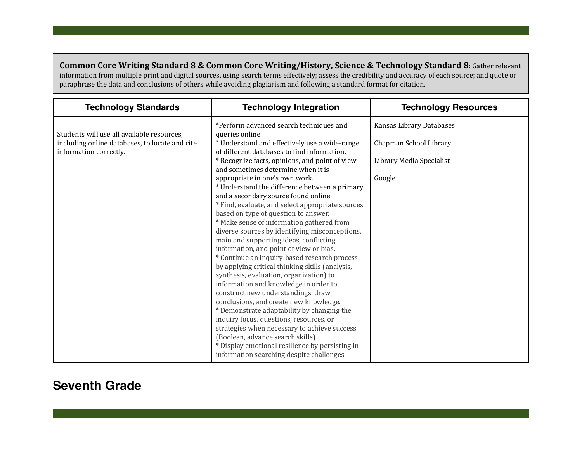**Common Core Writing Standard 8 & Common Core Writing/History, Science & Technology Standard 8: Gather relevant** information from multiple print and digital sources, using search terms effectively; assess the credibility and accuracy of each source; and quote or paraphrase the data and conclusions of others while avoiding plagiarism and following a standard format for citation.

| <b>Technology Standards</b>                                                                                            | <b>Technology Integration</b>                                                                                                                                                                                                                                                                                                                                                                                                                                                                                                                                                                                                                                                                                | <b>Technology Resources</b>                                                              |
|------------------------------------------------------------------------------------------------------------------------|--------------------------------------------------------------------------------------------------------------------------------------------------------------------------------------------------------------------------------------------------------------------------------------------------------------------------------------------------------------------------------------------------------------------------------------------------------------------------------------------------------------------------------------------------------------------------------------------------------------------------------------------------------------------------------------------------------------|------------------------------------------------------------------------------------------|
| Students will use all available resources,<br>including online databases, to locate and cite<br>information correctly. | *Perform advanced search techniques and<br>queries online<br>* Understand and effectively use a wide-range<br>of different databases to find information.<br>* Recognize facts, opinions, and point of view<br>and sometimes determine when it is<br>appropriate in one's own work.<br>* Understand the difference between a primary<br>and a secondary source found online.<br>* Find, evaluate, and select appropriate sources<br>based on type of question to answer.<br>* Make sense of information gathered from<br>diverse sources by identifying misconceptions,<br>main and supporting ideas, conflicting<br>information, and point of view or bias.<br>* Continue an inquiry-based research process | Kansas Library Databases<br>Chapman School Library<br>Library Media Specialist<br>Google |
|                                                                                                                        | by applying critical thinking skills (analysis,<br>synthesis, evaluation, organization) to<br>information and knowledge in order to<br>construct new understandings, draw<br>conclusions, and create new knowledge.<br>* Demonstrate adaptability by changing the<br>inquiry focus, questions, resources, or<br>strategies when necessary to achieve success.<br>(Boolean, advance search skills)<br>* Display emotional resilience by persisting in<br>information searching despite challenges.                                                                                                                                                                                                            |                                                                                          |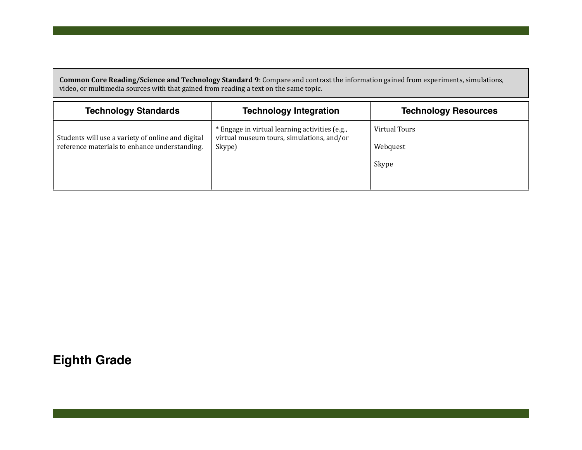**Common Core Reading/Science and Technology Standard 9**: Compare and contrast the information gained from experiments, simulations, video, or multimedia sources with that gained from reading a text on the same topic.

| <b>Technology Standards</b>                                                                        | <b>Technology Integration</b>                                                                         | <b>Technology Resources</b>        |
|----------------------------------------------------------------------------------------------------|-------------------------------------------------------------------------------------------------------|------------------------------------|
| Students will use a variety of online and digital<br>reference materials to enhance understanding. | * Engage in virtual learning activities (e.g.,<br>virtual museum tours, simulations, and/or<br>Skype) | Virtual Tours<br>Webquest<br>Skype |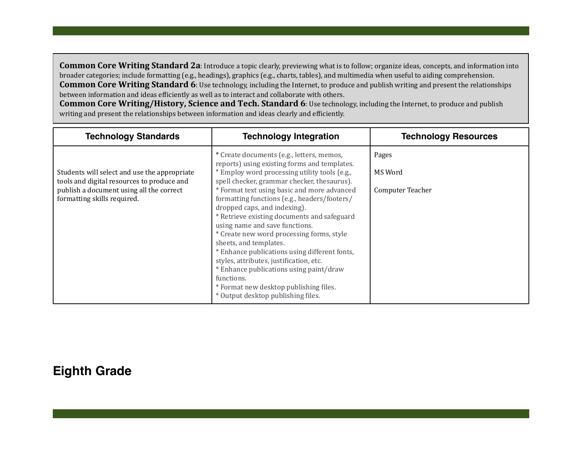**Common Core Writing Standard 2a**: Introduce a topic clearly, previewing what is to follow; organize ideas, concepts, and information into broader categories; include formatting (e.g., headings), graphics (e.g., charts, tables), and multimedia when useful to aiding comprehension. **Common Core Writing Standard 6**: Use technology, including the Internet, to produce and publish writing and present the relationships between information and ideas efficiently as well as to interact and collaborate with others.

**Common Core Writing/History, Science and Tech. Standard 6:** Use technology, including the Internet, to produce and publish writing and present the relationships between information and ideas clearly and efficiently.

| <b>Technology Standards</b>                                                                                                                                           | <b>Technology Integration</b>                                                                                                                                                                                                                                                                                                                                                                                                                                                                                                                                                                                                                                                                                         | <b>Technology Resources</b>          |
|-----------------------------------------------------------------------------------------------------------------------------------------------------------------------|-----------------------------------------------------------------------------------------------------------------------------------------------------------------------------------------------------------------------------------------------------------------------------------------------------------------------------------------------------------------------------------------------------------------------------------------------------------------------------------------------------------------------------------------------------------------------------------------------------------------------------------------------------------------------------------------------------------------------|--------------------------------------|
| Students will select and use the appropriate<br>tools and digital resources to produce and<br>publish a document using all the correct<br>formatting skills required. | * Create documents (e.g., letters, memos,<br>reports) using existing forms and templates.<br>* Employ word processing utility tools (e.g.,<br>spell checker, grammar checker, thesaurus).<br>* Format text using basic and more advanced<br>formatting functions (e.g., headers/footers/<br>dropped caps, and indexing).<br>* Retrieve existing documents and safeguard<br>using name and save functions.<br>* Create new word processing forms, style<br>sheets, and templates.<br>* Enhance publications using different fonts,<br>styles, attributes, justification, etc.<br>* Enhance publications using paint/draw<br>functions.<br>* Format new desktop publishing files.<br>* Output desktop publishing files. | Pages<br>MS Word<br>Computer Teacher |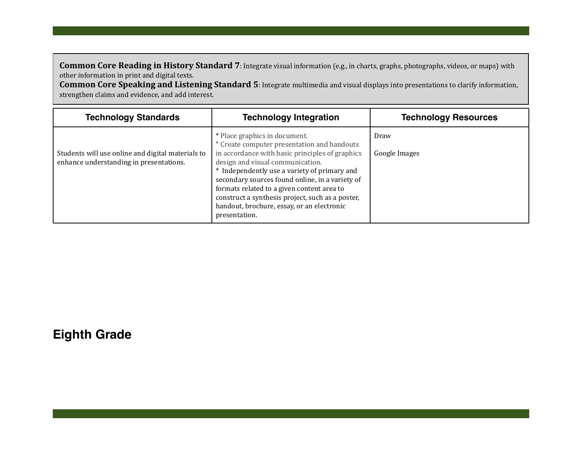**Common Core Reading in History Standard 7:** Integrate visual information (e.g., in charts, graphs, photographs, videos, or maps) with other information in print and digital texts.

**Common Core Speaking and Listening Standard 5:** Integrate multimedia and visual displays into presentations to clarify information, strengthen claims and evidence, and add interest.

| <b>Technology Standards</b>                                                                  | <b>Technology Integration</b>                                                                                                                                                                                                                                                                                                                                                                                                           | <b>Technology Resources</b> |
|----------------------------------------------------------------------------------------------|-----------------------------------------------------------------------------------------------------------------------------------------------------------------------------------------------------------------------------------------------------------------------------------------------------------------------------------------------------------------------------------------------------------------------------------------|-----------------------------|
| Students will use online and digital materials to<br>enhance understanding in presentations. | * Place graphics in document.<br>* Create computer presentation and handouts<br>in accordance with basic principles of graphics<br>design and visual communication.<br>* Independently use a variety of primary and<br>secondary sources found online, in a variety of<br>formats related to a given content area to<br>construct a synthesis project, such as a poster,<br>handout, brochure, essay, or an electronic<br>presentation. | Draw<br>Google Images       |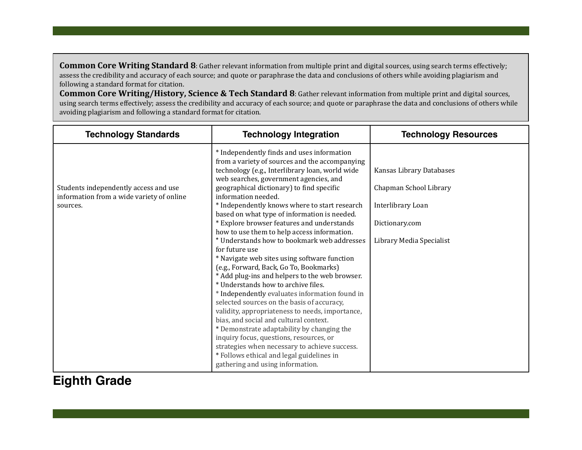**Common Core Writing Standard 8**: Gather relevant information from multiple print and digital sources, using search terms effectively; assess the credibility and accuracy of each source; and quote or paraphrase the data and conclusions of others while avoiding plagiarism and following a standard format for citation.

**Common Core Writing/History, Science & Tech Standard 8**: Gather relevant information from multiple print and digital sources, using search terms effectively; assess the credibility and accuracy of each source; and quote or paraphrase the data and conclusions of others while avoiding plagiarism and following a standard format for citation.

| <b>Technology Standards</b>                                                                    | <b>Technology Integration</b>                                                                                                                                                                                                                                                                                                                                                                                                                                                                                                                                                                                                                                                                                                                                                                                                                                                                                 | <b>Technology Resources</b>                                                                                           |
|------------------------------------------------------------------------------------------------|---------------------------------------------------------------------------------------------------------------------------------------------------------------------------------------------------------------------------------------------------------------------------------------------------------------------------------------------------------------------------------------------------------------------------------------------------------------------------------------------------------------------------------------------------------------------------------------------------------------------------------------------------------------------------------------------------------------------------------------------------------------------------------------------------------------------------------------------------------------------------------------------------------------|-----------------------------------------------------------------------------------------------------------------------|
| Students independently access and use<br>information from a wide variety of online<br>sources. | * Independently finds and uses information<br>from a variety of sources and the accompanying<br>technology (e.g., Interlibrary loan, world wide<br>web searches, government agencies, and<br>geographical dictionary) to find specific<br>information needed.<br>* Independently knows where to start research<br>based on what type of information is needed.<br>* Explore browser features and understands<br>how to use them to help access information.<br>* Understands how to bookmark web addresses<br>for future use<br>* Navigate web sites using software function<br>(e.g., Forward, Back, Go To, Bookmarks)<br>* Add plug-ins and helpers to the web browser.<br>* Understands how to archive files.<br>* Independently evaluates information found in<br>selected sources on the basis of accuracy,<br>validity, appropriateness to needs, importance,<br>bias, and social and cultural context. | Kansas Library Databases<br>Chapman School Library<br>Interlibrary Loan<br>Dictionary.com<br>Library Media Specialist |
|                                                                                                | * Demonstrate adaptability by changing the<br>inquiry focus, questions, resources, or<br>strategies when necessary to achieve success.<br>* Follows ethical and legal guidelines in<br>gathering and using information.                                                                                                                                                                                                                                                                                                                                                                                                                                                                                                                                                                                                                                                                                       |                                                                                                                       |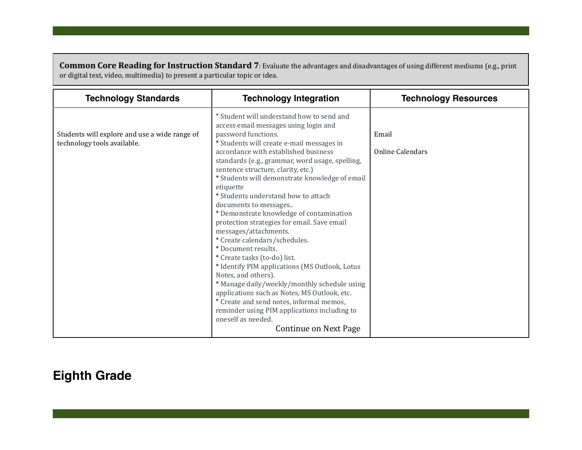**Common Core Reading for Instruction Standard 7**: Evaluate the advantages and disadvantages of using different mediums (e.g., print or digital text, video, multimedia) to present a particular topic or idea.

| <b>Technology Standards</b>                                                  | <b>Technology Integration</b>                                                                                                                                                                                                                                                                                                                                                                                                                                                                                                                                                                                                                                                                                                                                                                                                                                                                                                                          | <b>Technology Resources</b> |
|------------------------------------------------------------------------------|--------------------------------------------------------------------------------------------------------------------------------------------------------------------------------------------------------------------------------------------------------------------------------------------------------------------------------------------------------------------------------------------------------------------------------------------------------------------------------------------------------------------------------------------------------------------------------------------------------------------------------------------------------------------------------------------------------------------------------------------------------------------------------------------------------------------------------------------------------------------------------------------------------------------------------------------------------|-----------------------------|
| Students will explore and use a wide range of<br>technology tools available. | * Student will understand how to send and<br>access email messages using login and<br>password functions.<br>* Students will create e-mail messages in<br>accordance with established business<br>standards (e.g., grammar, word usage, spelling,<br>sentence structure, clarity, etc.)<br>* Students will demonstrate knowledge of email<br>etiquette<br>* Students understand how to attach<br>documents to messages<br>* Demonstrate knowledge of contamination<br>protection strategies for email. Save email<br>messages/attachments.<br>* Create calendars/schedules.<br>* Document results.<br>* Create tasks (to-do) list.<br>* Identify PIM applications (MS Outlook, Lotus<br>Notes, and others).<br>* Manage daily/weekly/monthly schedule using<br>applications such as Notes, MS Outlook, etc.<br>* Create and send notes, informal memos,<br>reminder using PIM applications including to<br>oneself as needed.<br>Continue on Next Page | Email<br>Online Calendars   |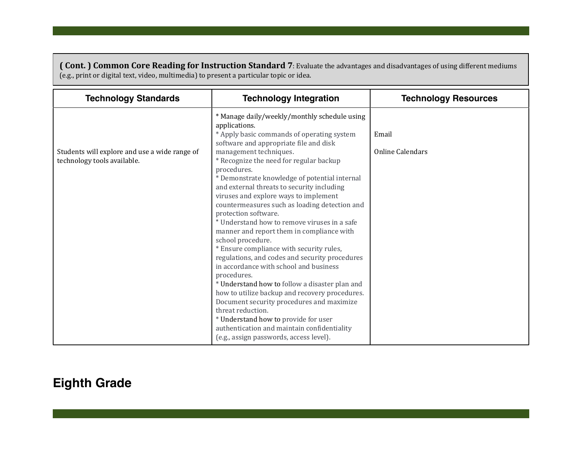**( Cont. ) Common Core Reading for Instruction Standard 7**: Evaluate the advantages and disadvantages of using different mediums (e.g., print or digital text, video, multimedia) to present a particular topic or idea.

| <b>Technology Standards</b><br><b>Technology Integration</b>                                                                                                                                                                                                                                                                                                                                                                                                                                                                                                                                                                                                                                                                                                                                                                                                                                                                                                                                                                                                                                                                | <b>Technology Resources</b>      |
|-----------------------------------------------------------------------------------------------------------------------------------------------------------------------------------------------------------------------------------------------------------------------------------------------------------------------------------------------------------------------------------------------------------------------------------------------------------------------------------------------------------------------------------------------------------------------------------------------------------------------------------------------------------------------------------------------------------------------------------------------------------------------------------------------------------------------------------------------------------------------------------------------------------------------------------------------------------------------------------------------------------------------------------------------------------------------------------------------------------------------------|----------------------------------|
| * Manage daily/weekly/monthly schedule using<br>applications.<br>* Apply basic commands of operating system<br>software and appropriate file and disk<br>management techniques.<br>Students will explore and use a wide range of<br>technology tools available.<br>* Recognize the need for regular backup<br>procedures.<br>* Demonstrate knowledge of potential internal<br>and external threats to security including<br>viruses and explore ways to implement<br>countermeasures such as loading detection and<br>protection software.<br>* Understand how to remove viruses in a safe<br>manner and report them in compliance with<br>school procedure.<br>* Ensure compliance with security rules,<br>regulations, and codes and security procedures<br>in accordance with school and business<br>procedures.<br>* Understand how to follow a disaster plan and<br>how to utilize backup and recovery procedures.<br>Document security procedures and maximize<br>threat reduction.<br>* Understand how to provide for user<br>authentication and maintain confidentiality<br>(e.g., assign passwords, access level). | Email<br><b>Online Calendars</b> |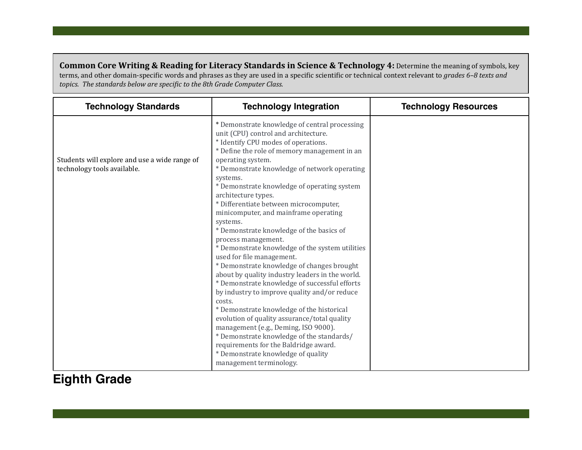**Common Core Writing & Reading for Literacy Standards in Science & Technology 4:** Determine the meaning of symbols, key terms, and other domain-specific words and phrases as they are used in a specific scientific or technical context relevant to *grades* 6-8 texts and topics. The standards below are specific to the 8th Grade Computer Class.

| <b>Technology Standards</b>                                                  | <b>Technology Integration</b>                                                                                                                                                                                                                                                                                                                                                                                                                                                                                                                                                                                                                                                                                                                                                                                                                                                                                                                                                                                                                                                                 | <b>Technology Resources</b> |
|------------------------------------------------------------------------------|-----------------------------------------------------------------------------------------------------------------------------------------------------------------------------------------------------------------------------------------------------------------------------------------------------------------------------------------------------------------------------------------------------------------------------------------------------------------------------------------------------------------------------------------------------------------------------------------------------------------------------------------------------------------------------------------------------------------------------------------------------------------------------------------------------------------------------------------------------------------------------------------------------------------------------------------------------------------------------------------------------------------------------------------------------------------------------------------------|-----------------------------|
| Students will explore and use a wide range of<br>technology tools available. | * Demonstrate knowledge of central processing<br>unit (CPU) control and architecture.<br>* Identify CPU modes of operations.<br>* Define the role of memory management in an<br>operating system.<br>* Demonstrate knowledge of network operating<br>systems.<br>* Demonstrate knowledge of operating system<br>architecture types.<br>* Differentiate between microcomputer,<br>minicomputer, and mainframe operating<br>systems.<br>* Demonstrate knowledge of the basics of<br>process management.<br>* Demonstrate knowledge of the system utilities<br>used for file management.<br>* Demonstrate knowledge of changes brought<br>about by quality industry leaders in the world.<br>* Demonstrate knowledge of successful efforts<br>by industry to improve quality and/or reduce<br>costs.<br>* Demonstrate knowledge of the historical<br>evolution of quality assurance/total quality<br>management (e.g., Deming, ISO 9000).<br>* Demonstrate knowledge of the standards/<br>requirements for the Baldridge award.<br>* Demonstrate knowledge of quality<br>management terminology. |                             |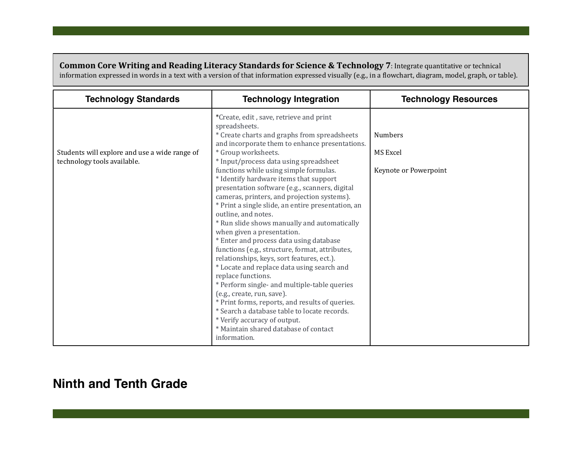**Common Core Writing and Reading Literacy Standards for Science & Technology 7: Integrate quantitative or technical** information expressed in words in a text with a version of that information expressed visually (e.g., in a flowchart, diagram, model, graph, or table).

| <b>Technology Standards</b>                                                  | <b>Technology Integration</b>                                                                                                                                                                                                                                                                                                                                                                                                                                                                                                                                                                                                                                                                                                                                                                                                                                                                                                                                                                                                                                         | <b>Technology Resources</b>                         |
|------------------------------------------------------------------------------|-----------------------------------------------------------------------------------------------------------------------------------------------------------------------------------------------------------------------------------------------------------------------------------------------------------------------------------------------------------------------------------------------------------------------------------------------------------------------------------------------------------------------------------------------------------------------------------------------------------------------------------------------------------------------------------------------------------------------------------------------------------------------------------------------------------------------------------------------------------------------------------------------------------------------------------------------------------------------------------------------------------------------------------------------------------------------|-----------------------------------------------------|
| Students will explore and use a wide range of<br>technology tools available. | *Create, edit, save, retrieve and print<br>spreadsheets.<br>* Create charts and graphs from spreadsheets<br>and incorporate them to enhance presentations.<br>* Group worksheets.<br>* Input/process data using spreadsheet<br>functions while using simple formulas.<br>* Identify hardware items that support<br>presentation software (e.g., scanners, digital<br>cameras, printers, and projection systems).<br>* Print a single slide, an entire presentation, an<br>outline, and notes.<br>* Run slide shows manually and automatically<br>when given a presentation.<br>* Enter and process data using database<br>functions (e.g., structure, format, attributes,<br>relationships, keys, sort features, ect.).<br>* Locate and replace data using search and<br>replace functions.<br>* Perform single- and multiple-table queries<br>(e.g., create, run, save).<br>* Print forms, reports, and results of queries.<br>* Search a database table to locate records.<br>* Verify accuracy of output.<br>* Maintain shared database of contact<br>information. | <b>Numbers</b><br>MS Excel<br>Keynote or Powerpoint |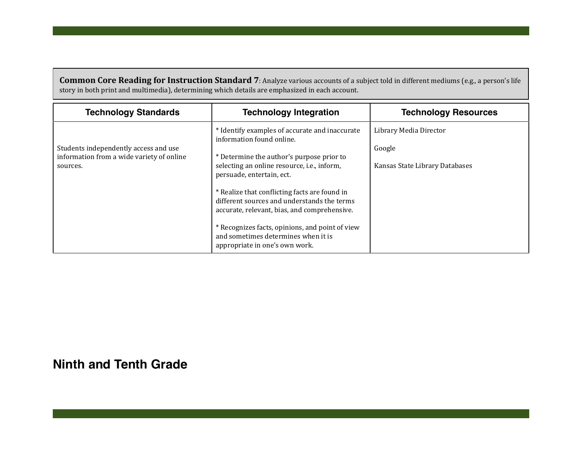**Common Core Reading for Instruction Standard 7**: Analyze various accounts of a subject told in different mediums (e.g., a person's life story in both print and multimedia), determining which details are emphasized in each account.

| <b>Technology Standards</b>                                                                    | <b>Technology Integration</b>                                                                                                                                                                                                                                                                                                                                                                                                                                                    | <b>Technology Resources</b>                                        |
|------------------------------------------------------------------------------------------------|----------------------------------------------------------------------------------------------------------------------------------------------------------------------------------------------------------------------------------------------------------------------------------------------------------------------------------------------------------------------------------------------------------------------------------------------------------------------------------|--------------------------------------------------------------------|
| Students independently access and use<br>information from a wide variety of online<br>sources. | * Identify examples of accurate and inaccurate<br>information found online.<br>* Determine the author's purpose prior to<br>selecting an online resource, i.e., inform,<br>persuade, entertain, ect.<br>* Realize that conflicting facts are found in<br>different sources and understands the terms<br>accurate, relevant, bias, and comprehensive.<br>* Recognizes facts, opinions, and point of view<br>and sometimes determines when it is<br>appropriate in one's own work. | Library Media Director<br>Google<br>Kansas State Library Databases |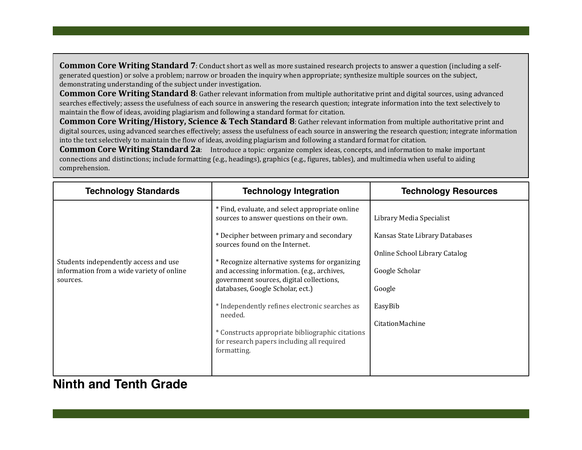**Common Core Writing Standard 7:** Conduct short as well as more sustained research projects to answer a question (including a selfgenerated question) or solve a problem; narrow or broaden the inquiry when appropriate; synthesize multiple sources on the subject, demonstrating understanding of the subject under investigation.

**Common Core Writing Standard 8:** Gather relevant information from multiple authoritative print and digital sources, using advanced searches effectively; assess the usefulness of each source in answering the research question; integrate information into the text selectively to maintain the flow of ideas, avoiding plagiarism and following a standard format for citation.

**Common Core Writing/History, Science & Tech Standard 8: Gather relevant information from multiple authoritative print and** digital sources, using advanced searches effectively; assess the usefulness of each source in answering the research question; integrate information into the text selectively to maintain the flow of ideas, avoiding plagiarism and following a standard format for citation.

**Common Core Writing Standard 2a**: Introduce a topic: organize complex ideas, concepts, and information to make important connections and distinctions; include formatting (e.g., headings), graphics (e.g., figures, tables), and multimedia when useful to aiding comprehension.

| <b>Technology Standards</b>                                                                    | <b>Technology Integration</b>                                                                                                                                                                                                                                                                                                                                                                                                                                                                                                             | <b>Technology Resources</b>                                                                                                                           |
|------------------------------------------------------------------------------------------------|-------------------------------------------------------------------------------------------------------------------------------------------------------------------------------------------------------------------------------------------------------------------------------------------------------------------------------------------------------------------------------------------------------------------------------------------------------------------------------------------------------------------------------------------|-------------------------------------------------------------------------------------------------------------------------------------------------------|
| Students independently access and use<br>information from a wide variety of online<br>sources. | * Find, evaluate, and select appropriate online<br>sources to answer questions on their own.<br>* Decipher between primary and secondary<br>sources found on the Internet.<br>* Recognize alternative systems for organizing<br>and accessing information. (e.g., archives,<br>government sources, digital collections,<br>databases, Google Scholar, ect.)<br>* Independently refines electronic searches as<br>needed.<br>* Constructs appropriate bibliographic citations<br>for research papers including all required<br>formatting. | Library Media Specialist<br>Kansas State Library Databases<br>Online School Library Catalog<br>Google Scholar<br>Google<br>EasyBib<br>CitationMachine |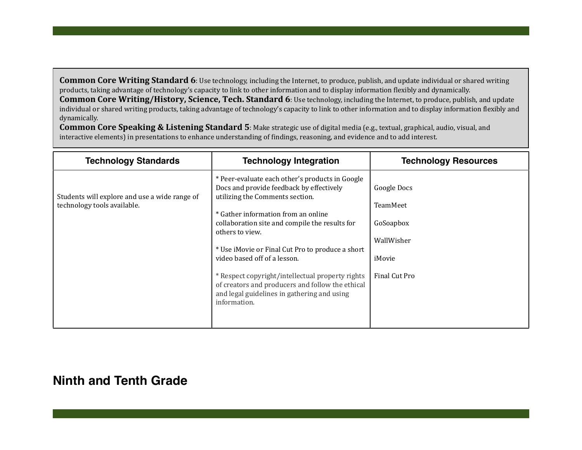Common Core Writing Standard 6: Use technology, including the Internet, to produce, publish, and update individual or shared writing products, taking advantage of technology's capacity to link to other information and to display information flexibly and dynamically. **Common Core Writing/History, Science, Tech. Standard 6**: Use technology, including the Internet, to produce, publish, and update individual or shared writing products, taking advantage of technology's capacity to link to other information and to display information flexibly and dynamically.

**Common Core Speaking & Listening Standard 5**: Make strategic use of digital media (e.g., textual, graphical, audio, visual, and interactive elements) in presentations to enhance understanding of findings, reasoning, and evidence and to add interest.

| <b>Technology Standards</b>                                                  | <b>Technology Integration</b>                                                                                                                                                                                                                                                                                                                                                                                                                                                                         | <b>Technology Resources</b>                                                          |
|------------------------------------------------------------------------------|-------------------------------------------------------------------------------------------------------------------------------------------------------------------------------------------------------------------------------------------------------------------------------------------------------------------------------------------------------------------------------------------------------------------------------------------------------------------------------------------------------|--------------------------------------------------------------------------------------|
| Students will explore and use a wide range of<br>technology tools available. | * Peer-evaluate each other's products in Google<br>Docs and provide feedback by effectively<br>utilizing the Comments section.<br>* Gather information from an online<br>collaboration site and compile the results for<br>others to view.<br>* Use iMovie or Final Cut Pro to produce a short<br>video based off of a lesson.<br>* Respect copyright/intellectual property rights<br>of creators and producers and follow the ethical<br>and legal guidelines in gathering and using<br>information. | Google Docs<br><b>TeamMeet</b><br>GoSoapbox<br>WallWisher<br>iMovie<br>Final Cut Pro |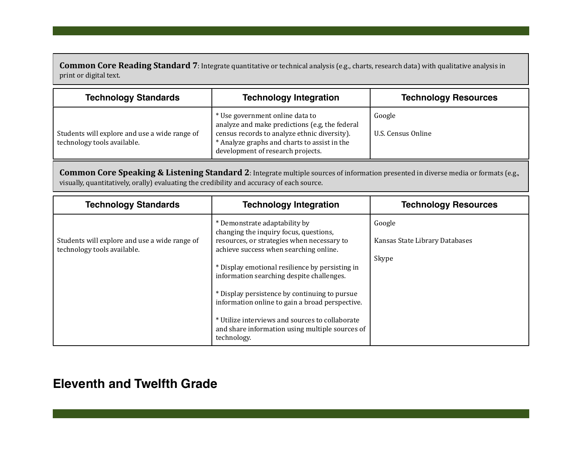**Common Core Reading Standard 7**: Integrate quantitative or technical analysis (e.g., charts, research data) with qualitative analysis in print or digital text.

| <b>Technology Standards</b>                                                  | <b>Technology Integration</b>                                                                                                                                                                                          | <b>Technology Resources</b>  |
|------------------------------------------------------------------------------|------------------------------------------------------------------------------------------------------------------------------------------------------------------------------------------------------------------------|------------------------------|
| Students will explore and use a wide range of<br>technology tools available. | * Use government online data to<br>analyze and make predictions (e.g, the federal<br>census records to analyze ethnic diversity).<br>* Analyze graphs and charts to assist in the<br>development of research projects. | Google<br>U.S. Census Online |

**Common Core Speaking & Listening Standard 2**: Integrate multiple sources of information presented in diverse media or formats (e.g., visually, quantitatively, orally) evaluating the credibility and accuracy of each source.

| <b>Technology Standards</b>                                                  | <b>Technology Integration</b>                                                                                                                                                                                                                                                                                                                                                                                                                                                            | <b>Technology Resources</b>                       |
|------------------------------------------------------------------------------|------------------------------------------------------------------------------------------------------------------------------------------------------------------------------------------------------------------------------------------------------------------------------------------------------------------------------------------------------------------------------------------------------------------------------------------------------------------------------------------|---------------------------------------------------|
| Students will explore and use a wide range of<br>technology tools available. | * Demonstrate adaptability by<br>changing the inquiry focus, questions,<br>resources, or strategies when necessary to<br>achieve success when searching online.<br>* Display emotional resilience by persisting in<br>information searching despite challenges.<br>* Display persistence by continuing to pursue<br>information online to gain a broad perspective.<br>* Utilize interviews and sources to collaborate<br>and share information using multiple sources of<br>technology. | Google<br>Kansas State Library Databases<br>Skype |

# **Eleventh and Twelfth Grade**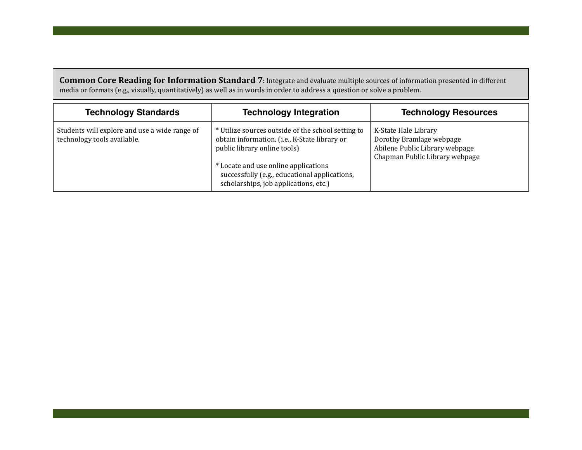**Common Core Reading for Information Standard 7**: Integrate and evaluate multiple sources of information presented in different media or formats (e.g., visually, quantitatively) as well as in words in order to address a question or solve a problem.

| <b>Technology Standards</b>                                                  | <b>Technology Integration</b>                                                                                                                                                                                                                                         | <b>Technology Resources</b>                                                                                          |
|------------------------------------------------------------------------------|-----------------------------------------------------------------------------------------------------------------------------------------------------------------------------------------------------------------------------------------------------------------------|----------------------------------------------------------------------------------------------------------------------|
| Students will explore and use a wide range of<br>technology tools available. | * Utilize sources outside of the school setting to<br>obtain information. (i.e., K-State library or<br>public library online tools)<br>* Locate and use online applications<br>successfully (e.g., educational applications,<br>scholarships, job applications, etc.) | K-State Hale Library<br>Dorothy Bramlage webpage<br>Abilene Public Library webpage<br>Chapman Public Library webpage |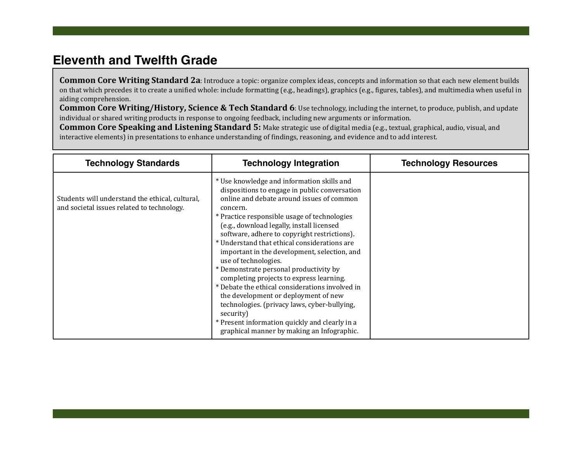# **Eleventh and Twelfth Grade**

**Common Core Writing Standard 2a**: Introduce a topic: organize complex ideas, concepts and information so that each new element builds on that which precedes it to create a unified whole: include formatting (e.g., headings), graphics (e.g., figures, tables), and multimedia when useful in aiding comprehension.

**Common Core Writing/History, Science & Tech Standard 6**: Use technology, including the internet, to produce, publish, and update individual or shared writing products in response to ongoing feedback, including new arguments or information.

**Common Core Speaking and Listening Standard 5:** Make strategic use of digital media (e.g., textual, graphical, audio, visual, and interactive elements) in presentations to enhance understanding of findings, reasoning, and evidence and to add interest.

| <b>Technology Standards</b>                                                                   | <b>Technology Integration</b>                                                                                                                                                                                                                                                                                                                                                                                                                                                                                                                                                                                                                                                                                                                                           | <b>Technology Resources</b> |
|-----------------------------------------------------------------------------------------------|-------------------------------------------------------------------------------------------------------------------------------------------------------------------------------------------------------------------------------------------------------------------------------------------------------------------------------------------------------------------------------------------------------------------------------------------------------------------------------------------------------------------------------------------------------------------------------------------------------------------------------------------------------------------------------------------------------------------------------------------------------------------------|-----------------------------|
| Students will understand the ethical, cultural,<br>and societal issues related to technology. | * Use knowledge and information skills and<br>dispositions to engage in public conversation<br>online and debate around issues of common<br>concern.<br>* Practice responsible usage of technologies<br>(e.g., download legally, install licensed<br>software, adhere to copyright restrictions).<br>* Understand that ethical considerations are<br>important in the development, selection, and<br>use of technologies.<br>* Demonstrate personal productivity by<br>completing projects to express learning.<br>* Debate the ethical considerations involved in<br>the development or deployment of new<br>technologies. (privacy laws, cyber-bullying,<br>security)<br>* Present information quickly and clearly in a<br>graphical manner by making an Infographic. |                             |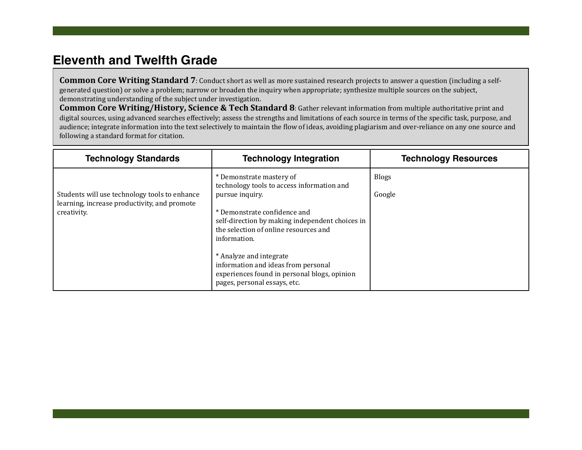# **Eleventh and Twelfth Grade**

**Common Core Writing Standard 7**: Conduct short as well as more sustained research projects to answer a question (including a selfgenerated question) or solve a problem; narrow or broaden the inquiry when appropriate; synthesize multiple sources on the subject, demonstrating understanding of the subject under investigation.

**Common Core Writing/History, Science & Tech Standard 8**: Gather relevant information from multiple authoritative print and digital sources, using advanced searches effectively; assess the strengths and limitations of each source in terms of the specific task, purpose, and audience; integrate information into the text selectively to maintain the flow of ideas, avoiding plagiarism and over-reliance on any one source and following a standard format for citation.

| <b>Technology Standards</b>                                                                                  | <b>Technology Integration</b>                                                                                                                                                                                                         | <b>Technology Resources</b> |
|--------------------------------------------------------------------------------------------------------------|---------------------------------------------------------------------------------------------------------------------------------------------------------------------------------------------------------------------------------------|-----------------------------|
| Students will use technology tools to enhance<br>learning, increase productivity, and promote<br>creativity. | * Demonstrate mastery of<br>technology tools to access information and<br>pursue inquiry.<br>* Demonstrate confidence and<br>self-direction by making independent choices in<br>the selection of online resources and<br>information. | <b>Blogs</b><br>Google      |
|                                                                                                              | * Analyze and integrate<br>information and ideas from personal<br>experiences found in personal blogs, opinion<br>pages, personal essays, etc.                                                                                        |                             |